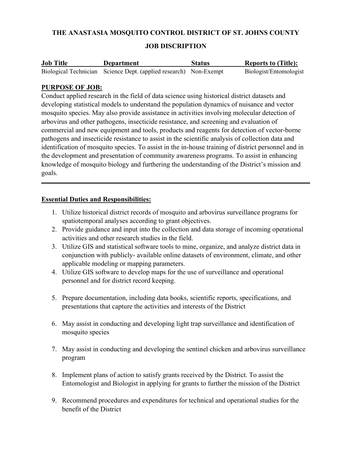## THE ANASTASIA MOSQUITO CONTROL DISTRICT OF ST. JOHNS COUNTY

## JOB DISCRIPTION

| <b>Job Title</b> | Department                                                        | <b>Status</b> | <b>Reports to (Title):</b> |
|------------------|-------------------------------------------------------------------|---------------|----------------------------|
|                  | Biological Technician Science Dept. (applied research) Non-Exempt |               | Biologist/Entomologist     |

#### PURPOSE OF JOB:

Conduct applied research in the field of data science using historical district datasets and developing statistical models to understand the population dynamics of nuisance and vector mosquito species. May also provide assistance in activities involving molecular detection of arbovirus and other pathogens, insecticide resistance, and screening and evaluation of commercial and new equipment and tools, products and reagents for detection of vector-borne pathogens and insecticide resistance to assist in the scientific analysis of collection data and identification of mosquito species. To assist in the in-house training of district personnel and in the development and presentation of community awareness programs. To assist in enhancing knowledge of mosquito biology and furthering the understanding of the District's mission and goals.

#### Essential Duties and Responsibilities:

- 1. Utilize historical district records of mosquito and arbovirus surveillance programs for spatiotemporal analyses according to grant objectives.
- 2. Provide guidance and input into the collection and data storage of incoming operational activities and other research studies in the field.
- 3. Utilize GIS and statistical software tools to mine, organize, and analyze district data in conjunction with publicly- available online datasets of environment, climate, and other applicable modeling or mapping parameters.
- 4. Utilize GIS software to develop maps for the use of surveillance and operational personnel and for district record keeping.
- 5. Prepare documentation, including data books, scientific reports, specifications, and presentations that capture the activities and interests of the District
- 6. May assist in conducting and developing light trap surveillance and identification of mosquito species
- 7. May assist in conducting and developing the sentinel chicken and arbovirus surveillance program
- 8. Implement plans of action to satisfy grants received by the District. To assist the Entomologist and Biologist in applying for grants to further the mission of the District
- 9. Recommend procedures and expenditures for technical and operational studies for the benefit of the District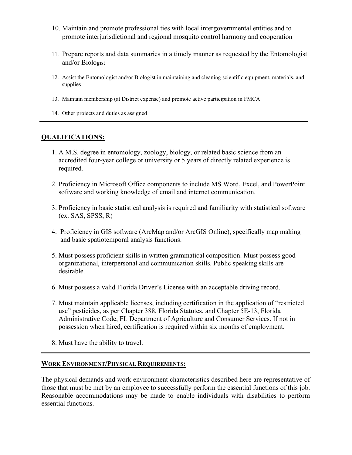- 10. Maintain and promote professional ties with local intergovernmental entities and to promote interjurisdictional and regional mosquito control harmony and cooperation
- 11. Prepare reports and data summaries in a timely manner as requested by the Entomologist and/or Biologist
- 12. Assist the Entomologist and/or Biologist in maintaining and cleaning scientific equipment, materials, and supplies
- 13. Maintain membership (at District expense) and promote active participation in FMCA
- 14. Other projects and duties as assigned

## QUALIFICATIONS:

- 1. A M.S. degree in entomology, zoology, biology, or related basic science from an accredited four-year college or university or 5 years of directly related experience is required.
- 2. Proficiency in Microsoft Office components to include MS Word, Excel, and PowerPoint software and working knowledge of email and internet communication.
- 3. Proficiency in basic statistical analysis is required and familiarity with statistical software (ex. SAS, SPSS, R)
- 4. Proficiency in GIS software (ArcMap and/or ArcGIS Online), specifically map making and basic spatiotemporal analysis functions.
- 5. Must possess proficient skills in written grammatical composition. Must possess good organizational, interpersonal and communication skills. Public speaking skills are desirable.
- 6. Must possess a valid Florida Driver's License with an acceptable driving record.
- 7. Must maintain applicable licenses, including certification in the application of "restricted use" pesticides, as per Chapter 388, Florida Statutes, and Chapter 5E-13, Florida Administrative Code, FL Department of Agriculture and Consumer Services. If not in possession when hired, certification is required within six months of employment.
- 8. Must have the ability to travel.

#### WORK ENVIRONMENT/PHYSICAL REQUIREMENTS:

The physical demands and work environment characteristics described here are representative of those that must be met by an employee to successfully perform the essential functions of this job. Reasonable accommodations may be made to enable individuals with disabilities to perform essential functions.